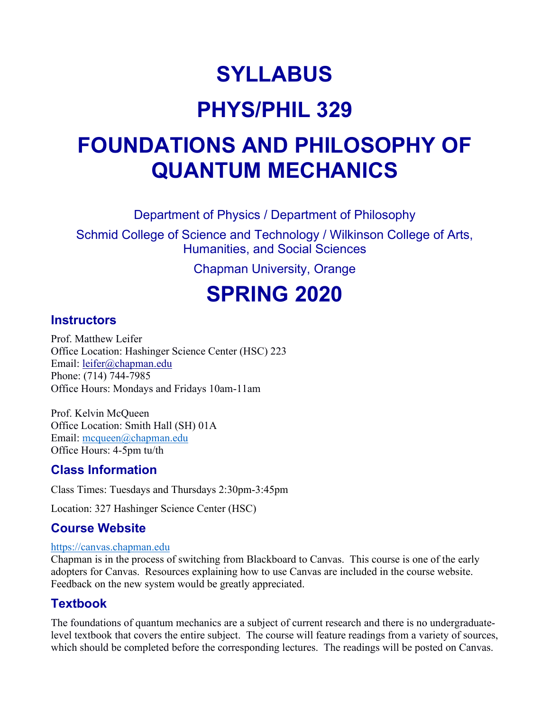# **SYLLABUS**

# **PHYS/PHIL 329**

# **FOUNDATIONS AND PHILOSOPHY OF QUANTUM MECHANICS**

Department of Physics / Department of Philosophy

Schmid College of Science and Technology / Wilkinson College of Arts, Humanities, and Social Sciences

Chapman University, Orange

# **SPRING 2020**

#### **Instructors**

Prof. Matthew Leifer Office Location: Hashinger Science Center (HSC) 223 Email: [leifer@chapman.edu](mailto:leifer@chapman.edu) Phone: (714) 744-7985 Office Hours: Mondays and Fridays 10am-11am

Prof. Kelvin McQueen Office Location: Smith Hall (SH) 01A Email: [mcqueen@chapman.edu](mailto:mcqueen@chapman.edu) Office Hours: 4-5pm tu/th

#### **Class Information**

Class Times: Tuesdays and Thursdays 2:30pm-3:45pm

Location: 327 Hashinger Science Center (HSC)

#### **Course Website**

#### [https://canvas.chapman.edu](https://canvas.chapman.edu/)

Chapman is in the process of switching from Blackboard to Canvas. This course is one of the early adopters for Canvas. Resources explaining how to use Canvas are included in the course website. Feedback on the new system would be greatly appreciated.

#### **Textbook**

The foundations of quantum mechanics are a subject of current research and there is no undergraduatelevel textbook that covers the entire subject. The course will feature readings from a variety of sources, which should be completed before the corresponding lectures. The readings will be posted on Canvas.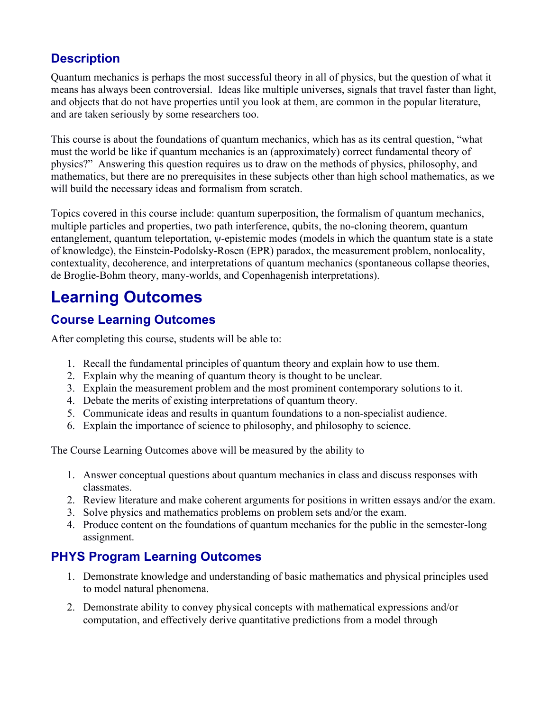### **Description**

Quantum mechanics is perhaps the most successful theory in all of physics, but the question of what it means has always been controversial. Ideas like multiple universes, signals that travel faster than light, and objects that do not have properties until you look at them, are common in the popular literature, and are taken seriously by some researchers too.

This course is about the foundations of quantum mechanics, which has as its central question, "what must the world be like if quantum mechanics is an (approximately) correct fundamental theory of physics?" Answering this question requires us to draw on the methods of physics, philosophy, and mathematics, but there are no prerequisites in these subjects other than high school mathematics, as we will build the necessary ideas and formalism from scratch.

Topics covered in this course include: quantum superposition, the formalism of quantum mechanics, multiple particles and properties, two path interference, qubits, the no-cloning theorem, quantum entanglement, quantum teleportation, ψ-epistemic modes (models in which the quantum state is a state of knowledge), the Einstein-Podolsky-Rosen (EPR) paradox, the measurement problem, nonlocality, contextuality, decoherence, and interpretations of quantum mechanics (spontaneous collapse theories, de Broglie-Bohm theory, many-worlds, and Copenhagenish interpretations).

# **Learning Outcomes**

#### **Course Learning Outcomes**

After completing this course, students will be able to:

- 1. Recall the fundamental principles of quantum theory and explain how to use them.
- 2. Explain why the meaning of quantum theory is thought to be unclear.
- 3. Explain the measurement problem and the most prominent contemporary solutions to it.
- 4. Debate the merits of existing interpretations of quantum theory.
- 5. Communicate ideas and results in quantum foundations to a non-specialist audience.
- 6. Explain the importance of science to philosophy, and philosophy to science.

The Course Learning Outcomes above will be measured by the ability to

- 1. Answer conceptual questions about quantum mechanics in class and discuss responses with classmates.
- 2. Review literature and make coherent arguments for positions in written essays and/or the exam.
- 3. Solve physics and mathematics problems on problem sets and/or the exam.
- 4. Produce content on the foundations of quantum mechanics for the public in the semester-long assignment.

#### **PHYS Program Learning Outcomes**

- 1. Demonstrate knowledge and understanding of basic mathematics and physical principles used to model natural phenomena.
- 2. Demonstrate ability to convey physical concepts with mathematical expressions and/or computation, and effectively derive quantitative predictions from a model through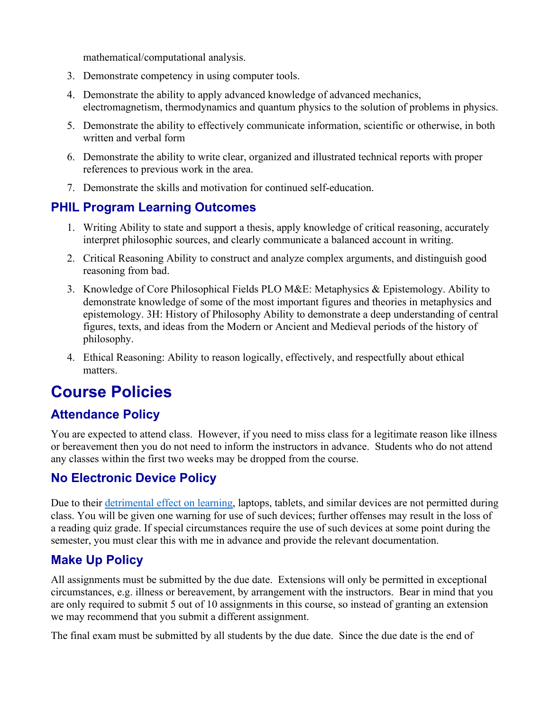mathematical/computational analysis.

- 3. Demonstrate competency in using computer tools.
- 4. Demonstrate the ability to apply advanced knowledge of advanced mechanics, electromagnetism, thermodynamics and quantum physics to the solution of problems in physics.
- 5. Demonstrate the ability to effectively communicate information, scientific or otherwise, in both written and verbal form
- 6. Demonstrate the ability to write clear, organized and illustrated technical reports with proper references to previous work in the area.
- 7. Demonstrate the skills and motivation for continued self-education.

#### **PHIL Program Learning Outcomes**

- 1. Writing Ability to state and support a thesis, apply knowledge of critical reasoning, accurately interpret philosophic sources, and clearly communicate a balanced account in writing.
- 2. Critical Reasoning Ability to construct and analyze complex arguments, and distinguish good reasoning from bad.
- 3. Knowledge of Core Philosophical Fields PLO M&E: Metaphysics & Epistemology. Ability to demonstrate knowledge of some of the most important figures and theories in metaphysics and epistemology. 3H: History of Philosophy Ability to demonstrate a deep understanding of central figures, texts, and ideas from the Modern or Ancient and Medieval periods of the history of philosophy.
- 4. Ethical Reasoning: Ability to reason logically, effectively, and respectfully about ethical matters.

### **Course Policies**

#### **Attendance Policy**

You are expected to attend class. However, if you need to miss class for a legitimate reason like illness or bereavement then you do not need to inform the instructors in advance. Students who do not attend any classes within the first two weeks may be dropped from the course.

#### **No Electronic Device Policy**

Due to their [detrimental effect on learning,](https://nam03.safelinks.protection.outlook.com/?url=http%3A%2F%2Fwww.sciencedirect.com%2Fscience%2Farticle%2Fpii%2FS0360131512002254&data=02%7C01%7Cleifer%40chapman.edu%7C97e723767e2e4d9b5a7308d7a7779eec%7C809929af2d2545bf9837089eb9cfbd01%7C1%7C0%7C637162004532524058&sdata=VHV3%2BmYjZaQdeI2qnRyU3ac%2BEIOSVBlkNSVmpte3FiQ%3D&reserved=0) laptops, tablets, and similar devices are not permitted during class. You will be given one warning for use of such devices; further offenses may result in the loss of a reading quiz grade. If special circumstances require the use of such devices at some point during the semester, you must clear this with me in advance and provide the relevant documentation.

#### **Make Up Policy**

All assignments must be submitted by the due date. Extensions will only be permitted in exceptional circumstances, e.g. illness or bereavement, by arrangement with the instructors. Bear in mind that you are only required to submit 5 out of 10 assignments in this course, so instead of granting an extension we may recommend that you submit a different assignment.

The final exam must be submitted by all students by the due date. Since the due date is the end of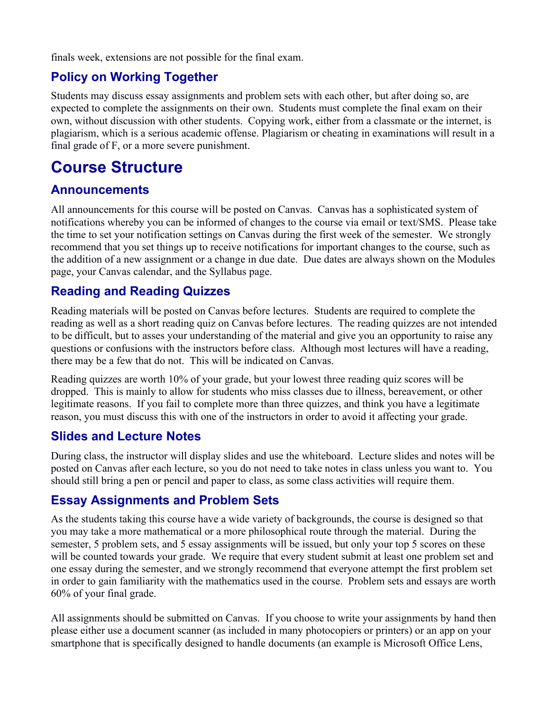finals week, extensions are not possible for the final exam.

#### **Policy on Working Together**

Students may discuss essay assignments and problem sets with each other, but after doing so, are expected to complete the assignments on their own. Students must complete the final exam on their own, without discussion with other students. Copying work, either from a classmate or the internet, is plagiarism, which is a serious academic offense. Plagiarism or cheating in examinations will result in a final grade of F, or a more severe punishment.

### **Course Structure**

#### **Announcements**

All announcements for this course will be posted on Canvas. Canvas has a sophisticated system of notifications whereby you can be informed of changes to the course via email or text/SMS. Please take the time to set your notification settings on Canvas during the first week of the semester. We strongly recommend that you set things up to receive notifications for important changes to the course, such as the addition of a new assignment or a change in due date. Due dates are always shown on the Modules page, your Canvas calendar, and the Syllabus page.

#### **Reading and Reading Quizzes**

Reading materials will be posted on Canvas before lectures. Students are required to complete the reading as well as a short reading quiz on Canvas before lectures. The reading quizzes are not intended to be difficult, but to asses your understanding of the material and give you an opportunity to raise any questions or confusions with the instructors before class. Although most lectures will have a reading, there may be a few that do not. This will be indicated on Canvas.

Reading quizzes are worth 10% of your grade, but your lowest three reading quiz scores will be dropped. This is mainly to allow for students who miss classes due to illness, bereavement, or other legitimate reasons. If you fail to complete more than three quizzes, and think you have a legitimate reason, you must discuss this with one of the instructors in order to avoid it affecting your grade.

#### **Slides and Lecture Notes**

During class, the instructor will display slides and use the whiteboard. Lecture slides and notes will be posted on Canvas after each lecture, so you do not need to take notes in class unless you want to. You should still bring a pen or pencil and paper to class, as some class activities will require them.

#### **Essay Assignments and Problem Sets**

As the students taking this course have a wide variety of backgrounds, the course is designed so that you may take a more mathematical or a more philosophical route through the material. During the semester, 5 problem sets, and 5 essay assignments will be issued, but only your top 5 scores on these will be counted towards your grade. We require that every student submit at least one problem set and one essay during the semester, and we strongly recommend that everyone attempt the first problem set in order to gain familiarity with the mathematics used in the course. Problem sets and essays are worth 60% of your final grade.

All assignments should be submitted on Canvas. If you choose to write your assignments by hand then please either use a document scanner (as included in many photocopiers or printers) or an app on your smartphone that is specifically designed to handle documents (an example is Microsoft Office Lens,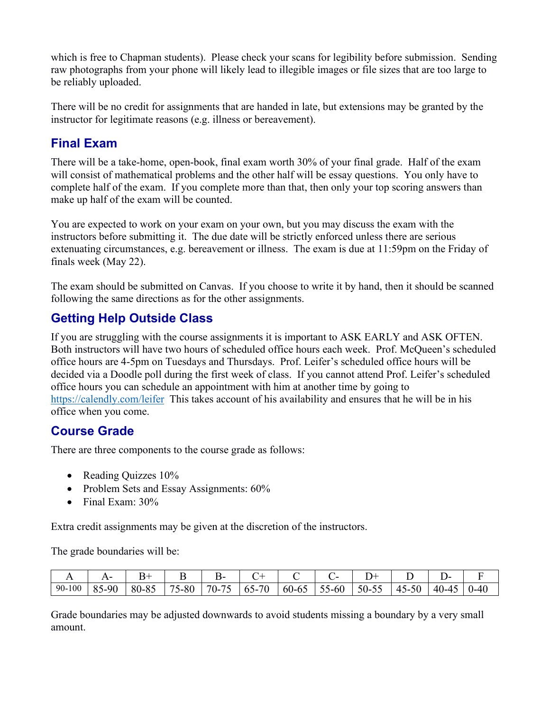which is free to Chapman students). Please check your scans for legibility before submission. Sending raw photographs from your phone will likely lead to illegible images or file sizes that are too large to be reliably uploaded.

There will be no credit for assignments that are handed in late, but extensions may be granted by the instructor for legitimate reasons (e.g. illness or bereavement).

#### **Final Exam**

There will be a take-home, open-book, final exam worth 30% of your final grade. Half of the exam will consist of mathematical problems and the other half will be essay questions. You only have to complete half of the exam. If you complete more than that, then only your top scoring answers than make up half of the exam will be counted.

You are expected to work on your exam on your own, but you may discuss the exam with the instructors before submitting it. The due date will be strictly enforced unless there are serious extenuating circumstances, e.g. bereavement or illness. The exam is due at 11:59pm on the Friday of finals week (May 22).

The exam should be submitted on Canvas. If you choose to write it by hand, then it should be scanned following the same directions as for the other assignments.

#### **Getting Help Outside Class**

If you are struggling with the course assignments it is important to ASK EARLY and ASK OFTEN. Both instructors will have two hours of scheduled office hours each week. Prof. McQueen's scheduled office hours are 4-5pm on Tuesdays and Thursdays. Prof. Leifer's scheduled office hours will be decided via a Doodle poll during the first week of class. If you cannot attend Prof. Leifer's scheduled office hours you can schedule an appointment with him at another time by going to <https://calendly.com/leifer>This takes account of his availability and ensures that he will be in his office when you come.

#### **Course Grade**

There are three components to the course grade as follows:

- Reading Ouizzes 10%
- Problem Sets and Essay Assignments: 60%
- Final Exam:  $30\%$

Extra credit assignments may be given at the discretion of the instructors.

The grade boundaries will be:

| . .    |            |                         | ப                  | ്വ.                                         |                                          |           |                        |              |           | ້               |      |
|--------|------------|-------------------------|--------------------|---------------------------------------------|------------------------------------------|-----------|------------------------|--------------|-----------|-----------------|------|
| 90-100 | 85<br>5-90 | $Q\subset$<br>$80 - 8.$ | $- -$<br>5-80<br>ັ | $ -$<br>$70-$ .<br>$\overline{\phantom{0}}$ | 70<br>$\mathbf{r}$<br>$\mathbf{v}$<br>ບຸ | $60 - 65$ | - -<br>5-60<br>◝<br>ັບ | $50-$<br>. ل | 50<br>45- | 40-<br>$.1 - 4$ | )-40 |

Grade boundaries may be adjusted downwards to avoid students missing a boundary by a very small amount.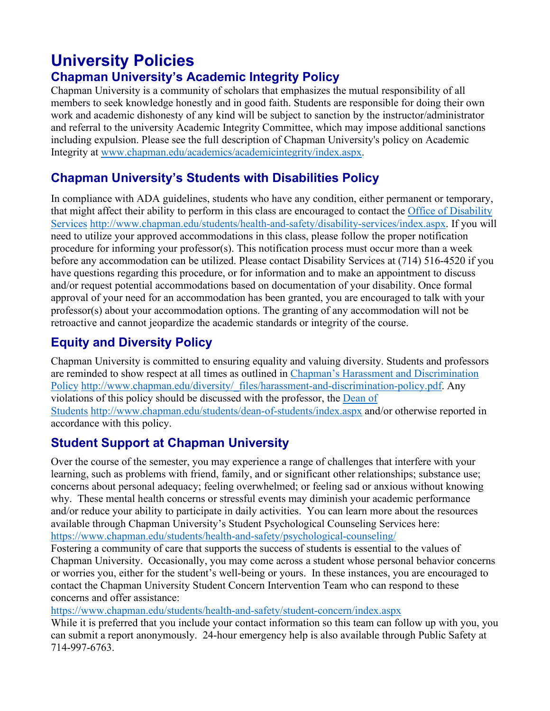# **University Policies**

### **Chapman University's Academic Integrity Policy**

Chapman University is a community of scholars that emphasizes the mutual responsibility of all members to seek knowledge honestly and in good faith. Students are responsible for doing their own work and academic dishonesty of any kind will be subject to sanction by the instructor/administrator and referral to the university Academic Integrity Committee, which may impose additional sanctions including expulsion. Please see the full description of Chapman University's policy on Academic Integrity at [www.chapman.edu/academics/academicintegrity/index.aspx.](http://www.chapman.edu/academics/academicintegrity/index.aspx)

#### **Chapman University's Students with Disabilities Policy**

In compliance with ADA guidelines, students who have any condition, either permanent or temporary, that might affect their ability to perform in this class are encouraged to contact the [Office of Disability](http://www.chapman.edu/students/health-and-safety/disability-services/index.aspx)  [Services](http://www.chapman.edu/students/health-and-safety/disability-services/index.aspx) [http://www.chapman.edu/students/health-and-safety/disability-services/index.aspx.](http://www.chapman.edu/students/health-and-safety/disability-services/index.aspx) If you will need to utilize your approved accommodations in this class, please follow the proper notification procedure for informing your professor(s). This notification process must occur more than a week before any accommodation can be utilized. Please contact Disability Services at (714) 516-4520 if you have questions regarding this procedure, or for information and to make an appointment to discuss and/or request potential accommodations based on documentation of your disability. Once formal approval of your need for an accommodation has been granted, you are encouraged to talk with your professor(s) about your accommodation options. The granting of any accommodation will not be retroactive and cannot jeopardize the academic standards or integrity of the course.

#### **Equity and Diversity Policy**

Chapman University is committed to ensuring equality and valuing diversity. Students and professors are reminded to show respect at all times as outlined in [Chapman's Harassment and Discrimination](http://www.chapman.edu/diversity/_files/harassment-and-discrimination-policy.pdf)  [Policy](http://www.chapman.edu/diversity/_files/harassment-and-discrimination-policy.pdf) [http://www.chapman.edu/diversity/\\_files/harassment-and-discrimination-policy.pdf.](http://www.chapman.edu/diversity/_files/harassment-and-discrimination-policy.pdf) Any violations of this policy should be discussed with the professor, the [Dean of](http://www.chapman.edu/students/dean-of-students/index.aspx)  [Students](http://www.chapman.edu/students/dean-of-students/index.aspx) <http://www.chapman.edu/students/dean-of-students/index.aspx> and/or otherwise reported in accordance with this policy.

#### **Student Support at Chapman University**

Over the course of the semester, you may experience a range of challenges that interfere with your learning, such as problems with friend, family, and or significant other relationships; substance use; concerns about personal adequacy; feeling overwhelmed; or feeling sad or anxious without knowing why. These mental health concerns or stressful events may diminish your academic performance and/or reduce your ability to participate in daily activities. You can learn more about the resources available through Chapman University's Student Psychological Counseling Services here: <https://www.chapman.edu/students/health-and-safety/psychological-counseling/>

Fostering a community of care that supports the success of students is essential to the values of Chapman University. Occasionally, you may come across a student whose personal behavior concerns or worries you, either for the student's well-being or yours. In these instances, you are encouraged to contact the Chapman University Student Concern Intervention Team who can respond to these concerns and offer assistance:

<https://www.chapman.edu/students/health-and-safety/student-concern/index.aspx>

While it is preferred that you include your contact information so this team can follow up with you, you can submit a report anonymously. 24-hour emergency help is also available through Public Safety at 714-997-6763.